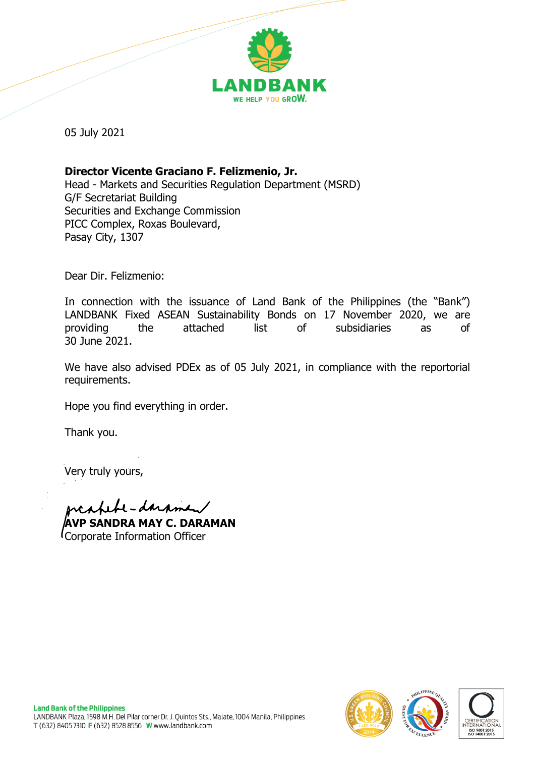

05 July 2021

## **Director Vicente Graciano F. Felizmenio, Jr.**

Head - Markets and Securities Regulation Department (MSRD) G/F Secretariat Building Securities and Exchange Commission PICC Complex, Roxas Boulevard, Pasay City, 1307

Dear Dir. Felizmenio:

In connection with the issuance of Land Bank of the Philippines (the "Bank") LANDBANK Fixed ASEAN Sustainability Bonds on 17 November 2020, we are providing the attached list of subsidiaries as of 30 June 2021.

We have also advised PDEx as of 05 July 2021, in compliance with the reportorial requirements.

Hope you find everything in order.

Thank you.

Very truly yours,

-darpmen/

**AVP SANDRA MAY C. DARAMAN** Corporate Information Officer

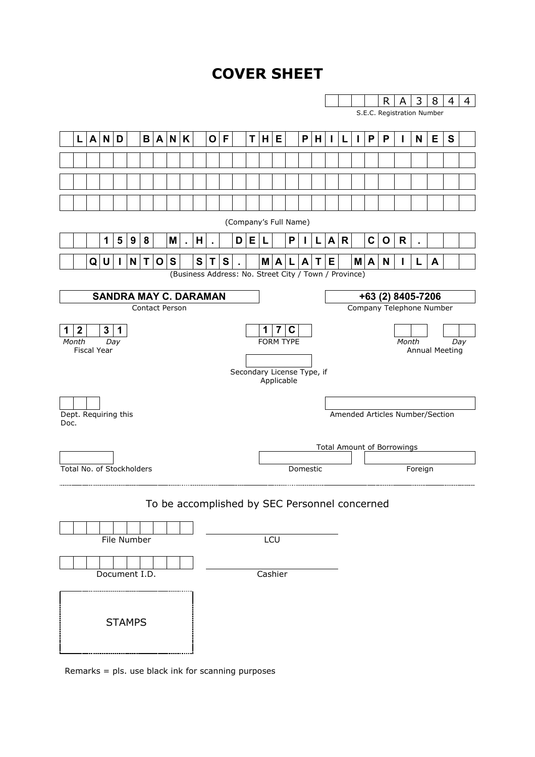# **COVER SHEET**

|                                               |                      |  |                   |                |                  |   |              |                                                           |                          |          |              |     |   |   |                       |                |   |   |                                                       |                   |         |          |              | R                                 |              | 3 | 8 | 4 | 4 |
|-----------------------------------------------|----------------------|--|-------------------|----------------|------------------|---|--------------|-----------------------------------------------------------|--------------------------|----------|--------------|-----|---|---|-----------------------|----------------|---|---|-------------------------------------------------------|-------------------|---------|----------|--------------|-----------------------------------|--------------|---|---|---|---|
|                                               |                      |  |                   |                |                  |   |              |                                                           |                          |          |              |     |   |   |                       |                |   |   |                                                       |                   |         |          |              | S.E.C. Registration Number        |              |   |   |   |   |
|                                               | L.                   |  | $A \mid N \mid D$ |                |                  |   |              | B A N K                                                   |                          |          | $\mathbf{O}$ | l F |   |   | T H                   | Е              |   | P | H                                                     | $\mathbf{I}$      | L       | Ш        | P            | P                                 |              | N | Е | S |   |
|                                               |                      |  |                   |                |                  |   |              |                                                           |                          |          |              |     |   |   |                       |                |   |   |                                                       |                   |         |          |              |                                   |              |   |   |   |   |
|                                               |                      |  |                   |                |                  |   |              |                                                           |                          |          |              |     |   |   |                       |                |   |   |                                                       |                   |         |          |              |                                   |              |   |   |   |   |
|                                               |                      |  |                   |                |                  |   |              |                                                           |                          |          |              |     |   |   |                       |                |   |   |                                                       |                   |         |          |              |                                   |              |   |   |   |   |
|                                               |                      |  |                   |                |                  |   |              |                                                           |                          |          |              |     |   |   | (Company's Full Name) |                |   |   |                                                       |                   |         |          |              |                                   |              |   |   |   |   |
|                                               |                      |  | 1                 | $5\phantom{1}$ | $\boldsymbol{9}$ | 8 |              | M                                                         |                          | н        |              |     | D | Е |                       |                | P |   | L                                                     | $\mathsf{A}$      | R       |          | $\mathbf{C}$ | $\mathbf{o}$                      | $\mathsf{R}$ |   |   |   |   |
|                                               |                      |  | $Q$ U             | $\mathbf{I}$   | N                | T | $\mathbf{o}$ | $\mathbf{s}$                                              |                          | S        | $\mathbf T$  | S   |   |   | M A                   |                | L | A | $\mathsf{T}$                                          | E                 |         | <b>M</b> | $\mathbf{A}$ | N                                 | I            | L | A |   |   |
|                                               |                      |  |                   |                |                  |   |              |                                                           |                          |          |              |     |   |   |                       |                |   |   | (Business Address: No. Street City / Town / Province) |                   |         |          |              |                                   |              |   |   |   |   |
| <b>SANDRA MAY C. DARAMAN</b>                  |                      |  |                   |                |                  |   |              |                                                           |                          |          |              |     |   |   |                       |                |   |   |                                                       | +63 (2) 8405-7206 |         |          |              |                                   |              |   |   |   |   |
| Contact Person                                |                      |  |                   |                |                  |   |              |                                                           | Company Telephone Number |          |              |     |   |   |                       |                |   |   |                                                       |                   |         |          |              |                                   |              |   |   |   |   |
| 1                                             | $\mathbf{2}$         |  | 3                 | $\mathbf 1$    |                  |   |              |                                                           |                          |          |              |     |   |   | 1                     | $\overline{7}$ | C |   |                                                       |                   |         |          |              |                                   |              |   |   |   |   |
| Month<br>Day<br><b>Fiscal Year</b>            |                      |  |                   |                |                  |   |              | <b>FORM TYPE</b><br>Month<br>Day<br><b>Annual Meeting</b> |                          |          |              |     |   |   |                       |                |   |   |                                                       |                   |         |          |              |                                   |              |   |   |   |   |
|                                               |                      |  |                   |                |                  |   |              |                                                           |                          |          |              |     |   |   |                       |                |   |   | Secondary License Type, if                            |                   |         |          |              |                                   |              |   |   |   |   |
|                                               |                      |  |                   |                |                  |   |              |                                                           |                          |          |              |     |   |   |                       | Applicable     |   |   |                                                       |                   |         |          |              |                                   |              |   |   |   |   |
|                                               |                      |  |                   |                |                  |   |              |                                                           |                          |          |              |     |   |   |                       |                |   |   |                                                       |                   |         |          |              |                                   |              |   |   |   |   |
| Doc.                                          | Dept. Requiring this |  |                   |                |                  |   |              |                                                           |                          |          |              |     |   |   |                       |                |   |   |                                                       |                   |         |          |              | Amended Articles Number/Section   |              |   |   |   |   |
|                                               |                      |  |                   |                |                  |   |              |                                                           |                          |          |              |     |   |   |                       |                |   |   |                                                       |                   |         |          |              | <b>Total Amount of Borrowings</b> |              |   |   |   |   |
|                                               |                      |  |                   |                |                  |   |              |                                                           |                          | Domestic |              |     |   |   |                       |                |   |   |                                                       |                   |         |          |              |                                   |              |   |   |   |   |
| Total No. of Stockholders                     |                      |  |                   |                |                  |   |              |                                                           |                          |          |              |     |   |   |                       |                |   |   |                                                       |                   | Foreign |          |              |                                   |              |   |   |   |   |
| To be accomplished by SEC Personnel concerned |                      |  |                   |                |                  |   |              |                                                           |                          |          |              |     |   |   |                       |                |   |   |                                                       |                   |         |          |              |                                   |              |   |   |   |   |
|                                               |                      |  |                   |                |                  |   |              |                                                           |                          |          |              |     |   |   |                       |                |   |   |                                                       |                   |         |          |              |                                   |              |   |   |   |   |
| File Number                                   |                      |  |                   |                |                  |   |              |                                                           |                          |          |              | LCU |   |   |                       |                |   |   |                                                       |                   |         |          |              |                                   |              |   |   |   |   |
|                                               |                      |  |                   |                |                  |   |              |                                                           |                          |          |              |     |   |   |                       |                |   |   |                                                       |                   |         |          |              |                                   |              |   |   |   |   |
|                                               |                      |  |                   |                | Document I.D.    |   |              |                                                           |                          |          |              |     |   |   | Cashier               |                |   |   |                                                       |                   |         |          |              |                                   |              |   |   |   |   |
|                                               |                      |  |                   |                |                  |   |              |                                                           |                          |          |              |     |   |   |                       |                |   |   |                                                       |                   |         |          |              |                                   |              |   |   |   |   |
|                                               |                      |  |                   |                | <b>STAMPS</b>    |   |              |                                                           |                          |          |              |     |   |   |                       |                |   |   |                                                       |                   |         |          |              |                                   |              |   |   |   |   |
|                                               |                      |  |                   |                |                  |   |              |                                                           |                          |          |              |     |   |   |                       |                |   |   |                                                       |                   |         |          |              |                                   |              |   |   |   |   |
|                                               |                      |  |                   |                |                  |   |              |                                                           |                          |          |              |     |   |   |                       |                |   |   |                                                       |                   |         |          |              |                                   |              |   |   |   |   |

Remarks = pls. use black ink for scanning purposes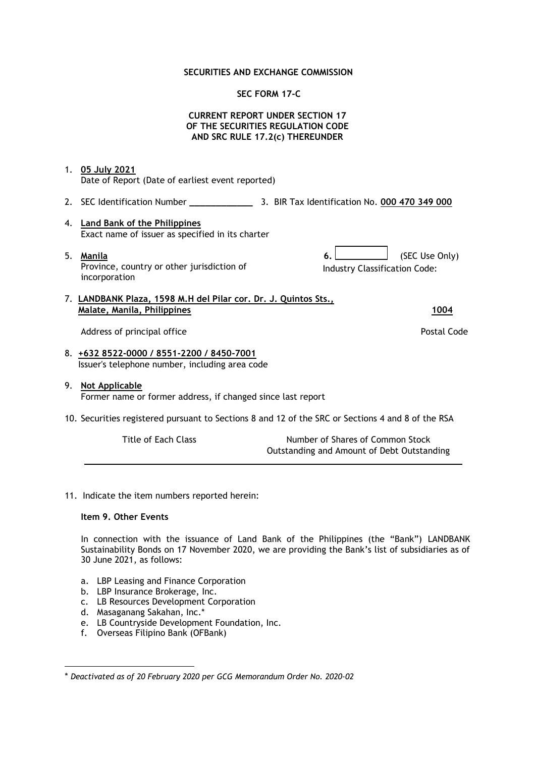#### **SECURITIES AND EXCHANGE COMMISSION**

#### **SEC FORM 17-C**

### **CURRENT REPORT UNDER SECTION 17 OF THE SECURITIES REGULATION CODE AND SRC RULE 17.2(c) THEREUNDER**

1. **05 July 2021** Date of Report (Date of earliest event reported)

- 2. SEC Identification Number **\_\_\_\_\_\_\_\_\_\_\_\_** 3. BIR Tax Identification No. **000 470 349 000**
- 4. **Land Bank of the Philippines** Exact name of issuer as specified in its charter
- 5. **Manila 6.** (SEC Use Only) Province, country or other jurisdiction of incorporation

| 7. LANDBANK Plaza, 1598 M.H del Pilar cor. Dr. J. Quintos Sts., |      |
|-----------------------------------------------------------------|------|
| Malate, Manila, Philippines                                     | 1004 |

Address of principal office **Postal Code** Postal Code

- 8. **+632 8522-0000 / 8551-2200 / 8450-7001** Issuer's telephone number, including area code
- 9. **Not Applicable** Former name or former address, if changed since last report
- 10. Securities registered pursuant to Sections 8 and 12 of the SRC or Sections 4 and 8 of the RSA

Title of Each Class Number of Shares of Common Stock Outstanding and Amount of Debt Outstanding

Industry Classification Code:

11. Indicate the item numbers reported herein:

#### **Item 9. Other Events**

In connection with the issuance of Land Bank of the Philippines (the "Bank") LANDBANK Sustainability Bonds on 17 November 2020, we are providing the Bank's list of subsidiaries as of 30 June 2021, as follows:

- a. LBP Leasing and Finance Corporation
- b. LBP Insurance Brokerage, Inc.
- c. LB Resources Development Corporation
- d. Masaganang Sakahan, Inc.\*
- e. LB Countryside Development Foundation, Inc.
- f. Overseas Filipino Bank (OFBank)

l \* *Deactivated as of 20 February 2020 per GCG Memorandum Order No. 2020-02*